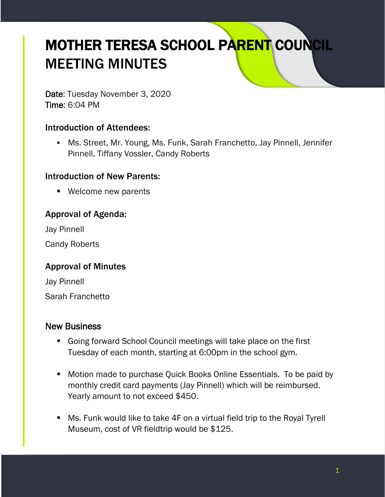# MOTHER TERESA SCHOOL PARENT COUNCIL MEETING MINUTES

Date: Tuesday November 3, 2020 Time: 6:04 PM

#### Introduction of Attendees:

▪ Ms. Street, Mr. Young, Ms. Funk, Sarah Franchetto, Jay Pinnell, Jennifer Pinnell, Tiffany Vossler, Candy Roberts

#### Introduction of New Parents:

■ Welcome new parents

#### Approval of Agenda:

Jay Pinnell

Candy Roberts

#### Approval of Minutes

Jay Pinnell Sarah Franchetto

#### New Business

- Going forward School Council meetings will take place on the first Tuesday of each month, starting at 6:00pm in the school gym.
- Motion made to purchase Quick Books Online Essentials. To be paid by monthly credit card payments (Jay Pinnell) which will be reimbursed. Yearly amount to not exceed \$450.
- Ms. Funk would like to take 4F on a virtual field trip to the Royal Tyrell Museum, cost of VR fieldtrip would be \$125.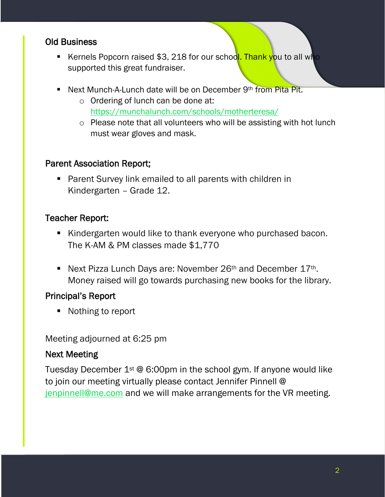# Old Business

- Kernels Popcorn raised \$3, 218 for our school. Thank you to all who supported this great fundraiser.
- Next Munch-A-Lunch date will be on December 9<sup>th</sup> from Pita Pit.
	- o Ordering of lunch can be done at: <https://munchalunch.com/schools/motherteresa/>
	- o Please note that all volunteers who will be assisting with hot lunch must wear gloves and mask.

#### Parent Association Report;

■ Parent Survey link emailed to all parents with children in Kindergarten – Grade 12.

# Teacher Report:

- Kindergarten would like to thank everyone who purchased bacon. The K-AM & PM classes made \$1,770
- Next Pizza Lunch Days are: November 26<sup>th</sup> and December 17<sup>th</sup>. Money raised will go towards purchasing new books for the library.

# Principal's Report

■ Nothing to report

Meeting adjourned at 6:25 pm

# Next Meeting

Tuesday December 1st @ 6:00pm in the school gym. If anyone would like to join our meeting virtually please contact Jennifer Pinnell @ [jenpinnell@me.com](mailto:jenpinnell@me.com) and we will make arrangements for the VR meeting.